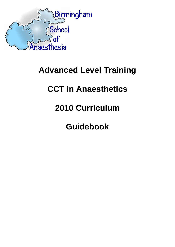

# **Advanced Level Training**

# **CCT in Anaesthetics**

**2010 Curriculum**

**Guidebook**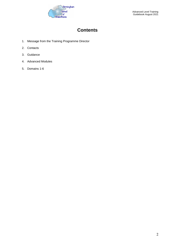

### **Contents**

- 1. Message from the Training Programme Director
- 2. Contacts
- 3. Guidance
- 4. Advanced Modules
- 5. Domains 1-6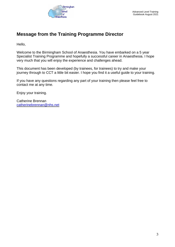

### **Message from the Training Programme Director**

Hello,

Welcome to the Birmingham School of Anaesthesia. You have embarked on a 5 year Specialist Training Programme and hopefully a successful career in Anaesthesia. I hope very much that you will enjoy the experience and challenges ahead.

This document has been developed (by trainees, for trainees) to try and make your journey through to CCT a little bit easier. I hope you find it a useful guide to your training.

If you have any questions regarding any part of your training then please feel free to contact me at any time.

Enjoy your training.

Catherine Brennan [catherinebrennan@nhs.net](mailto:catherinebrennan@nhs.net)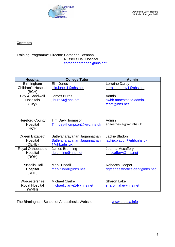

### **Contacts**

### Training Programme Director: Catherine Brennan Russells Hall Hospital [catherinebrennan@nhs.net](mailto:catherinebrennan@nhs.net)

| <b>Hospital</b>        | <b>College Tutor</b>        | <b>Admin</b>                   |
|------------------------|-----------------------------|--------------------------------|
| Birmingham             | Elin Jones                  | Lorraine Darby                 |
| Children's Hospital    | elin.jones1@nhs.net         | lorraine.darby1@nhs.net        |
| (BCH)                  |                             |                                |
| City & Sandwell        | <b>James Burns</b>          | Admin                          |
| Hospitals              | j.burns4@nhs.net            | swbh.anaesthetic-admin-        |
| (City)                 |                             | team@nhs.net                   |
|                        |                             |                                |
|                        |                             |                                |
|                        |                             |                                |
| <b>Hereford County</b> | Tim Day-Thompson            | Admin                          |
| Hospital               | Tim.day-thompson@wvt.nhs.uk | anaesthesia@wvt.nhs.uk         |
| (HCH)                  |                             |                                |
| Queen Elizabeth        | Sathyanarayanan Jagannathan | Jackie Bladon                  |
| Hospital               | Sathyanarayanan Jagannathan | jackie.bladon@uhb.nhs.uk       |
| (QEHB)                 | @uhb.nhs.uk                 |                                |
| Royal Orthopaedic      | James Brunning              | Joanna Mccaffery               |
| Hospital               | j.brunning@nhs.net          | j.mccaffery@nhs.net            |
| (ROH)                  |                             |                                |
|                        |                             |                                |
| <b>Russells Hall</b>   | <b>Mark Tindall</b>         | Rebecca Hooper                 |
| Hospital               | mark.tindall@nhs.net        | dgft.anaesthetics-dept@nhs.net |
| (RHH)                  |                             |                                |
|                        |                             |                                |
| Worcestershire         | <b>Michael Clarke</b>       | <b>Sharon Lake</b>             |
| <b>Royal Hospital</b>  | michael.clarke14@nhs.net    | sharon.lake@nhs.net            |
| (WRH)                  |                             |                                |

The Birmingham School of Anaesthesia Website: [www.thebsa.info](http://www.thebsa.info/)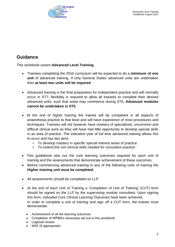

### **Guidance**

This workbook covers **Advanced Level Training**.

- Trainees completing the 2010 curriculum will be expected to do a **minimum of one unit** of advanced training. If only General Duties advanced units are undertaken then **at least two units will be required**.
- Advanced training is the final preparation for independent practice and will normally occur in ST7; flexibility is required to allow all trainees to complete their desired advanced units, such that some may commence during ST6. **Advanced modules cannot be undertaken in ST5**.
- At the end of higher training the trainee will be competent in all aspects of anaesthesia practice to that level and will have experience of most procedures and techniques. Trainees will not however have mastery of specialized, uncommon and difficult clinical work as they will have had little opportunity to develop special skills in an area of practice. The indicative year of full time advanced training allows this to occur and has two aims:
	- To develop mastery in specific special interest areas of practice
	- To extend the non-clinical skills needed for consultant practice
- This guidebook sets out the core learning outcomes required for each unit of training and the assessments that demonstrate achievement of these outcomes.
- Before commencing advanced training in any of the following units of training the **Higher training unit must be completed.**
- All assessments should be completed on LLP.
- At the end of each Unit of Training a 'Completion of Unit of Training' (CUT) form should be signed on the LLP by the supervising module consultant. Upon signing this form, indicated Core Clinical Learning Outcomes have been achieved. In order to complete a unit of training and sign off a CUT form, the trainee must demonstrate:
	- Achievement of all the learning outcomes
	- Completion of WPBA's necessary set out in this workbook
	- Logbook review
	- MSF (if appropriate)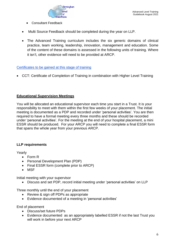

- Consultant Feedback
- Multi Source Feedback should be completed during the year on LLP.
- The Advanced Training curriculum includes the six generic domains of clinical practice, team working, leadership, innovation, management and education. Some of the content of these domains is assessed in the following units of training. Where it isn't, other evidence will need to be provided at ARCP.

### Certificates to be gained at this stage of training

• CCT: Certificate of Completion of Training in combination with Higher Level Training

### **Educational Supervision Meetings**

You will be allocated an educational supervisor each time you start in a Trust. It is your responsibility to meet with them within the first few weeks of your placement. The initial meeting is documented as a PDP and recorded under 'personal activities'. You are then required to have a formal meeting every three months and these should be recorded under 'personal activities'. For the meeting at the end of your hospital placement, a mini ESSR should be produced. For your ARCP you will need to complete a final ESSR form that spans the whole year from your previous ARCP.

### **LLP requirements**

Yearly

- Form R
- Personal Development Plan (PDP)
- Final ESSR form (complete prior to ARCP)
- MSF

Initial meeting with your supervisor

• Discuss and set PDP, record initial meeting under 'personal activities' on LLP

Three monthly until the end of your placement

- Review & sign off PDPs as appropriate
- Evidence documented of a meeting in 'personal activities'

End of placement

- Discuss/set future PDPs
- Evidence documented as an appropriately labelled ESSR if not the last Trust you will work in before your next ARCP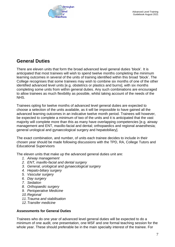

### **General Duties**

There are eleven units that form the broad advanced level general duties 'block'. It is anticipated that most trainees will wish to spend twelve months completing the minimum learning outcomes in several of the units of training identified within this broad 'block'. The College recognises that some trainees may wish to combine six months of one of the other identified advanced level units [e.g. obstetrics or plastics and burns], with six months completing some units from within general duties. Any such combinations are encouraged to allow trainees as much flexibility as possible, whilst taking account of the needs of the NHS.

Trainees opting for twelve months of advanced level general duties are expected to choose a selection of the units available, as it will be impossible to have gained all the advanced learning outcomes in an indicative twelve month period. Trainees will however, be expected to complete a minimum of two of the units and it is anticipated that the vast majority will complete more than this as many have overlapping competencies [e.g. airway management and ENT, maxillo-facial and dental; orthopaedics and regional anaesthesia; general urological and gynaecological surgery and hepatobiliary].

The exact combination, and number, of units each trainee decides to include in their chosen year should be made following discussions with the TPD, RA, College Tutors and Educational Supervisors

The eleven units that make up the advanced general duties unit are:

- *1. Airway management*
- *2. ENT, maxillo-facial and dental surgery*
- *3. General, urological and gynaecological surgery*
- *4. Hepato-biliary surgery*
- *5. Vascular surgery*
- *6. Day surgery*
- *7. Sedation*
- *8. Orthopaedic surgery*
- *9. Perioperative Medicine*
- *10.Regional*
- *11.Trauma and stabilisation*
- *12.Transfer medicine*

### **Assessments for General Duties**

Trainees who do one year of advanced level general duties will be expected to do a minimum of one audit, one presentation, one MSF and one formal teaching session for the whole year. These should preferable be in the main specialty interest of the trainee. For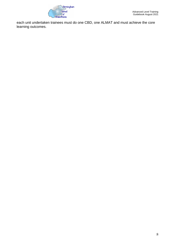

each unit undertaken trainees must do one CBD, one ALMAT and must achieve the core learning outcomes.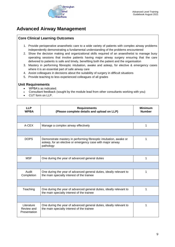

### **Advanced Airway Management**

#### **Core Clinical Learning Outcomes**

- 1. Provide perioperative anaesthetic care to a wide variety of patients with complex airway problems independently demonstrating a fundamental understanding of the problems encountered
- 2. Show the decision making and organizational skills required of an anaesthetist to manage busy operating sessions that involve patients having major airway surgery ensuring that the care delivered to patients is safe and timely, benefiting both the patient and the organisation
- 3. Mastery in performing fibreoptic intubation, awake and asleep, for elective & emergency cases where it is an essential part of safe airway care
- 4. Assist colleagues in decisions about the suitability of surgery in difficult situations
- 5. Provide teaching to less experienced colleagues of all grades

- WPBA's as indicated.
- Consultant feedback (sought by the module lead from other consultants working with you)
- CUT form on LLP.

| <b>LLP</b><br><b>WPBA</b>                | <b>Requirements</b><br>(Please complete details and upload on LLP)                                                                            | <b>Minimum</b><br><b>Number</b> |
|------------------------------------------|-----------------------------------------------------------------------------------------------------------------------------------------------|---------------------------------|
|                                          |                                                                                                                                               |                                 |
| A-CEX                                    | Manage a complex airway effectively                                                                                                           | 1                               |
|                                          |                                                                                                                                               |                                 |
| <b>DOPS</b>                              | Demonstrate mastery in performing fibreoptic intubation, awake or<br>asleep, for an elective or emergency case with major airway<br>pathology |                                 |
|                                          |                                                                                                                                               |                                 |
| <b>MSF</b>                               | One during the year of advanced general duties                                                                                                | 1                               |
|                                          |                                                                                                                                               |                                 |
| Audit<br>Completion                      | One during the year of advanced general duties, ideally relevant to<br>the main specialty interest of the trainee                             | 1                               |
|                                          |                                                                                                                                               |                                 |
| Teaching                                 | One during the year of advanced general duties, ideally relevant to<br>the main specialty interest of the trainee                             |                                 |
|                                          |                                                                                                                                               |                                 |
| Literature<br>Review and<br>Presentation | One during the year of advanced general duties, ideally relevant to<br>the main specialty interest of the trainee                             | 1                               |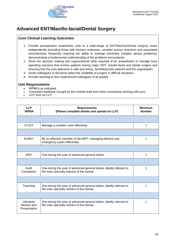

### **Advanced ENT/Maxillo-facial/Dental Surgery**

### **Core Clinical Learning Outcomes**

- 1. Provide perioperative anaesthetic care to a wide-range of ENT/MaxFax/Dental surgical cases independently [including those with thoracic extension, complex tumour resection and associated reconstruction frequently requiring the ability to manage extremely complex airway problems], demonstrating a fundamental understanding of the problems encountered
- 2. Show the decision making and organizational skills required of an anaesthetist to manage busy operating sessions that involve patients having major ENT, maxillo-facial and dental surgery and ensuring that the care delivered is safe and timely, benefiting both patients and the organisation
- 3. Assist colleagues in decisions about the suitability of surgery in difficult situations
- 4. Provide teaching to less experienced colleagues of all grades

- WPBA's as indicated.
- Consultant feedback (sought by the module lead from other consultants working with you)
- CUT form on LLP.

| <b>LLP</b><br><b>WPBA</b>                | <b>Requirements</b><br>(Please complete details and upload on LLP)                                                | <b>Minimum</b><br><b>Number</b> |
|------------------------------------------|-------------------------------------------------------------------------------------------------------------------|---------------------------------|
|                                          |                                                                                                                   |                                 |
| A-CEX                                    | Manage a complex case effectively                                                                                 | 1                               |
|                                          |                                                                                                                   |                                 |
| <b>ALMAT</b>                             | Be an effective member of the MDT, managing elective and<br>emergency cases effectively.                          | 1                               |
|                                          |                                                                                                                   |                                 |
| <b>MSF</b>                               | One during the year of advanced general duties                                                                    | 1                               |
|                                          |                                                                                                                   |                                 |
| Audit<br>Completion                      | One during the year of advanced general duties, ideally relevant to<br>the main specialty interest of the trainee | 1                               |
|                                          |                                                                                                                   |                                 |
| Teaching                                 | One during the year of advanced general duties, ideally relevant to<br>the main specialty interest of the trainee | 1                               |
|                                          |                                                                                                                   |                                 |
| Literature<br>Review and<br>Presentation | One during the year of advanced general duties, ideally relevant to<br>the main specialty interest of the trainee |                                 |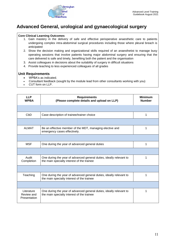

### **Advanced General, urological and gynaecological surgery**

#### **Core Clinical Learning Outcomes**

- 1. Gain mastery in the delivery of safe and effective perioperative anaesthetic care to patients undergoing complex intra-abdominal surgical procedures including those where pleural breach is anticipated
- 2. Show the decision making and organizational skills required of an anaesthetist to manage busy operating sessions that involve patients having major abdominal surgery and ensuring that the care delivered is safe and timely, benefiting both the patient and the organisation
- 3. Assist colleagues in decisions about the suitability of surgery in difficult situations
- 4. Provide teaching to less experienced colleagues of all grades

- WPBA's as indicated.
- Consultant feedback (sought by the module lead from other consultants working with you)
- CUT form on LLP.

| <b>LLP</b><br><b>WPBA</b>                | <b>Requirements</b><br>(Please complete details and upload on LLP)                                                | <b>Minimum</b><br><b>Number</b> |
|------------------------------------------|-------------------------------------------------------------------------------------------------------------------|---------------------------------|
|                                          |                                                                                                                   |                                 |
| CbD                                      | Case description of trainee/trainer choice                                                                        | 1                               |
|                                          |                                                                                                                   |                                 |
| <b>ALMAT</b>                             | Be an effective member of the MDT, managing elective and<br>emergency cases effectively.                          | 1                               |
|                                          |                                                                                                                   |                                 |
| <b>MSF</b>                               | One during the year of advanced general duties                                                                    |                                 |
|                                          |                                                                                                                   |                                 |
| Audit<br>Completion                      | One during the year of advanced general duties, ideally relevant to<br>the main specialty interest of the trainee | 1                               |
|                                          |                                                                                                                   |                                 |
| Teaching                                 | One during the year of advanced general duties, ideally relevant to<br>the main specialty interest of the trainee | 1                               |
|                                          |                                                                                                                   |                                 |
| Literature<br>Review and<br>Presentation | One during the year of advanced general duties, ideally relevant to<br>the main specialty interest of the trainee | 1                               |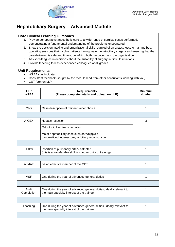

### **Hepatobiliary Surgery – Advanced Module**

#### **Core Clinical Learning Outcomes**

- 1. Provide perioperative anaesthetic care to a wide-range of surgical cases performed, demonstrating a fundamental understanding of the problems encountered
- 2. Show the decision making and organizational skills required of an anaesthetist to manage busy operating sessions that involve patients having major hepatobiliary surgery and ensuring that the care delivered is safe and timely, benefiting both the patient and the organisation
- 3. Assist colleagues in decisions about the suitability of surgery in difficult situations
- 4. Provide teaching to less experienced colleagues of all grades

- WPBA's as indicated.
- Consultant feedback (sought by the module lead from other consultants working with you)
- CUT form on LLP.

| <b>LLP</b><br><b>WPBA</b> | <b>Requirements</b><br>(Please complete details and upload on LLP)                                                | <b>Minimum</b><br><b>Number</b> |
|---------------------------|-------------------------------------------------------------------------------------------------------------------|---------------------------------|
|                           |                                                                                                                   |                                 |
| C <sub>b</sub> D          | Case description of trainee/trainer choice                                                                        | 1                               |
|                           |                                                                                                                   |                                 |
| A-CEX                     | Hepatic resection                                                                                                 | 3                               |
|                           | Orthotopic liver transplantation                                                                                  |                                 |
|                           | Major hepatobiliary case such as Whipple's<br>pancreaticoduodenectomy or biliary reconstruction                   |                                 |
|                           |                                                                                                                   |                                 |
| <b>DOPS</b>               | Insertion of pulmonary artery catheter<br>(this is a transferable skill from other units of training)             | 1                               |
|                           |                                                                                                                   |                                 |
| <b>ALMAT</b>              | Be an effective member of the MDT                                                                                 | 1                               |
|                           |                                                                                                                   |                                 |
| <b>MSF</b>                | One during the year of advanced general duties                                                                    | 1                               |
|                           |                                                                                                                   |                                 |
| Audit<br>Completion       | One during the year of advanced general duties, ideally relevant to<br>the main specialty interest of the trainee | 1                               |
|                           |                                                                                                                   |                                 |
| Teaching                  | One during the year of advanced general duties, ideally relevant to<br>the main specialty interest of the trainee | 1                               |
|                           |                                                                                                                   |                                 |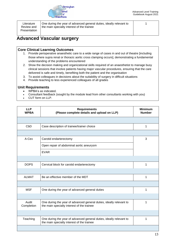

| Literature<br>Review and<br>Presentation | One during the year of advanced general duties, ideally relevant to<br>the main specialty interest of the trainee |  |
|------------------------------------------|-------------------------------------------------------------------------------------------------------------------|--|
|                                          |                                                                                                                   |  |

## **Advanced Vascular surgery**

#### **Core Clinical Learning Outcomes**

- 1. Provide perioperative anaesthetic care to a wide range of cases in and out of theatre [including those where supra renal or thoracic aortic cross clamping occurs], demonstrating a fundamental understanding of the problems encountered
- 2. Show the decision making and organizational skills required of an anaesthetist to manage busy clinical sessions that involve patients having major vascular procedures, ensuring that the care delivered is safe and timely, benefiting both the patient and the organisation
- 3. To assist colleagues in decisions about the suitability of surgery in difficult situations
- 4. Provide teaching to less experienced colleagues of all grades

- WPBA's as indicated.
- Consultant feedback (sought by the module lead from other consultants working with you)
- CUT form on LLP.

| <b>LLP</b><br><b>WPBA</b> | <b>Requirements</b><br>(Please complete details and upload on LLP)                                                | <b>Minimum</b><br><b>Number</b> |
|---------------------------|-------------------------------------------------------------------------------------------------------------------|---------------------------------|
|                           |                                                                                                                   |                                 |
| C <sub>b</sub> D          | Case description of trainee/trainer choice                                                                        | 1                               |
|                           |                                                                                                                   |                                 |
| A-Cex                     | Carotid endarterectomy                                                                                            | 3                               |
|                           | Open repair of abdominal aortic aneurysm                                                                          |                                 |
|                           | <b>EVAR</b>                                                                                                       |                                 |
|                           |                                                                                                                   |                                 |
| <b>DOPS</b>               | Cervical block for carotid endarterectomy                                                                         | 1                               |
|                           |                                                                                                                   |                                 |
| <b>ALMAT</b>              | Be an effective member of the MDT                                                                                 | 1                               |
|                           |                                                                                                                   |                                 |
| <b>MSF</b>                | One during the year of advanced general duties                                                                    | 1                               |
|                           |                                                                                                                   |                                 |
| Audit<br>Completion       | One during the year of advanced general duties, ideally relevant to<br>the main specialty interest of the trainee | 1                               |
|                           |                                                                                                                   |                                 |
| Teaching                  | One during the year of advanced general duties, ideally relevant to<br>the main specialty interest of the trainee | 1                               |
|                           |                                                                                                                   |                                 |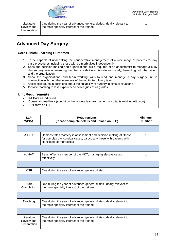

| Literature<br>Review and<br><b>Presentation</b> | One during the year of advanced general duties, ideally relevant to<br>the main specialty interest of the trainee |  |
|-------------------------------------------------|-------------------------------------------------------------------------------------------------------------------|--|
|-------------------------------------------------|-------------------------------------------------------------------------------------------------------------------|--|

## **Advanced Day Surgery**

#### **Core Clinical Learning Outcomes**

- 1. To be capable of undertaking the perioperative management of a wide range of patients for day case procedures including those with co-morbidities independently.
- 2. Show the decision making and organizational skills required of an anaesthetist to manage a busy day surgery session ensuring that the care delivered is safe and timely, benefiting both the patient and the organisation
- 3. Show the organisational and team working skills to lead and manage a day surgery unit in conjunction with the other members of the multi-disciplinary team
- 4. Assist colleagues in decisions about the suitability of surgery in difficult situations
- 5. Provide teaching to less experienced colleagues of all grades.

- WPBA's as indicated.
- Consultant feedback (sought by the module lead from other consultants working with you)
- CUT form on LLP.

| <b>LLP</b><br><b>WPBA</b>                | <b>Requirements</b><br>(Please complete details and upload on LLP)                                                                                                       | <b>Minimum</b><br><b>Number</b> |
|------------------------------------------|--------------------------------------------------------------------------------------------------------------------------------------------------------------------------|---------------------------------|
|                                          |                                                                                                                                                                          |                                 |
| A-CEX                                    | Demonstrates mastery in assessment and decision making of fitness<br>for complex day surgical cases, particularly those with patients with<br>significant co-morbidities |                                 |
|                                          |                                                                                                                                                                          |                                 |
| <b>ALMAT</b>                             | Be an effective member of the MDT, managing elective cases<br>effectively.                                                                                               |                                 |
|                                          |                                                                                                                                                                          |                                 |
| <b>MSF</b>                               | One during the year of advanced general duties                                                                                                                           | 1                               |
|                                          |                                                                                                                                                                          |                                 |
| Audit<br>Completion                      | One during the year of advanced general duties, ideally relevant to<br>the main specialty interest of the trainee                                                        | 1                               |
|                                          |                                                                                                                                                                          |                                 |
| Teaching                                 | One during the year of advanced general duties, ideally relevant to<br>the main specialty interest of the trainee                                                        | 1                               |
|                                          |                                                                                                                                                                          |                                 |
| Literature<br>Review and<br>Presentation | One during the year of advanced general duties, ideally relevant to<br>the main specialty interest of the trainee                                                        | 1                               |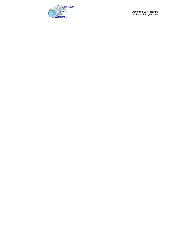

Advanced Level Training Guidebook August 2021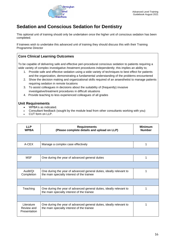

### **Sedation and Conscious Sedation for Dentistry**

This optional unit of training should only be undertaken once the higher unit of conscious sedation has been completed.

If trainees wish to undertake this advanced unit of training they should discuss this with their Training Programme Director

### **Core Clinical Learning Outcomes**

To be capable of delivering safe and effective peri-procedural conscious sedation to patients requiring a wide variety of complex investigative /treatment procedures independently; this implies an ability to;

- 1. Provide safe and effective sedation using a wide variety of techniques to best effect for patients and the organization, demonstrating a fundamental understanding of the problems encountered
- 2. Show the decision making and organizational skills required of an anaesthetist to manage patients requiring sedation in remote locations
- 3. To assist colleagues in decisions about the suitability of (frequently) invasive investigative/treatment procedures in difficult situations
- 4. Provide teaching to less experienced colleagues of all grades

- WPBA's as indicated.
- Consultant feedback (sought by the module lead from other consultants working with you)
- CUT form on LLP.

| <b>LLP</b><br><b>WPBA</b>                | <b>Requirements</b><br>(Please complete details and upload on LLP)                                                | <b>Minimum</b><br><b>Number</b> |
|------------------------------------------|-------------------------------------------------------------------------------------------------------------------|---------------------------------|
|                                          |                                                                                                                   |                                 |
| A-CEX                                    | Manage a complex case effectively                                                                                 |                                 |
|                                          |                                                                                                                   |                                 |
| <b>MSF</b>                               | One during the year of advanced general duties                                                                    | 1                               |
|                                          |                                                                                                                   |                                 |
| Audit/OI<br>Completion                   | One during the year of advanced general duties, ideally relevant to<br>the main specialty interest of the trainee |                                 |
|                                          |                                                                                                                   |                                 |
| Teaching                                 | One during the year of advanced general duties, ideally relevant to<br>the main specialty interest of the trainee |                                 |
|                                          |                                                                                                                   |                                 |
| Literature<br>Review and<br>Presentation | One during the year of advanced general duties, ideally relevant to<br>the main specialty interest of the trainee |                                 |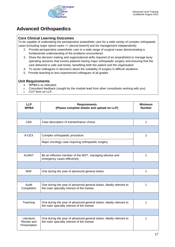

### **Advanced Orthopaedics**

#### **Core Clinical Learning Outcomes**

To be capable of undertaking the perioperative anaesthetic care for a wide variety of complex orthopaedic cases [including major spinal cases +/- pleural breech] and list management independently;

- 2. Provide perioperative anaesthetic care to a wide-range of surgical cases demonstrating a fundamental understanding of the problems encountered
- 3. Show the decision making and organizational skills required of an anaesthetist to manage busy operating sessions that involve patients having major orthopaedic surgery and ensuring that the care delivered is safe and timely, benefiting both the patient and the organisation
- 4. To assist colleagues in decisions about the suitability of surgery in difficult situations
- 5. Provide teaching to less experienced colleagues of all grades

- WPBA's as indicated.
- Consultant feedback (sought by the module lead from other consultants working with you)
- CUT form on LLP.

| <b>LLP</b><br><b>WPBA</b>                | <b>Requirements</b><br>(Please complete details and upload on LLP)                                                | Minimum<br><b>Number</b> |
|------------------------------------------|-------------------------------------------------------------------------------------------------------------------|--------------------------|
|                                          |                                                                                                                   |                          |
| CbD                                      | Case description of trainee/trainer choice                                                                        | 1                        |
|                                          |                                                                                                                   |                          |
| A-CEX                                    | Complex orthopaedic procedure                                                                                     | $\overline{2}$           |
|                                          | Major oncology case requiring orthopaedic surgery                                                                 |                          |
|                                          |                                                                                                                   |                          |
| <b>ALMAT</b>                             | Be an effective member of the MDT, managing elective and<br>emergency cases effectively.                          | 1                        |
|                                          |                                                                                                                   |                          |
| <b>MSF</b>                               | One during the year of advanced general duties                                                                    | 1                        |
|                                          |                                                                                                                   |                          |
| Audit<br>Completion                      | One during the year of advanced general duties, ideally relevant to<br>the main specialty interest of the trainee | 1                        |
|                                          |                                                                                                                   |                          |
| Teaching                                 | One during the year of advanced general duties, ideally relevant to<br>the main specialty interest of the trainee | 1                        |
|                                          |                                                                                                                   |                          |
| Literature<br>Review and<br>Presentation | One during the year of advanced general duties, ideally relevant to<br>the main specialty interest of the trainee | 1                        |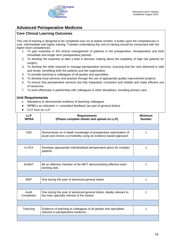

### **Advanced Perioperative Medicine**

### **Core Clinical Learning Outcomes**

This unit of training is designed to be completed over six to twelve months. It builds upon the competencies in core, intermediate and higher training. Trainees undertaking this unit of training should be conversant with the higher level competences.

- 1. To gain expertise in the clinical management of patients in the preoperative, intraoperative and both immediate and longer term postoperative periods.
- 2. To develop the expertise to take a lead in decision making about the suitability of high risk patients for surgery.
- 3. To develop the skills required to manage perioperative services, ensuring that the care delivered is safe and timely, benefiting both the patients and the organization.
- 4. To provide teaching to colleagues of all grades and specialties.
- 5. To develop local services and practice through the use of appropriate quality improvement projects.
- 6. To ensure that perioperative services are fully integrated, consistent and reliable and make efficient use of resources.
- 7. To work effectively in partnership with colleagues in other disciplines, including primary care.

- Mandatory to demonstrate evidence of teaching colleagues
- WPBA's as indicated +/- consultant feedback (as part of general duties)
- CUT form on LLP.

| <b>LLP</b><br><b>WPBA</b> | <b>Requirements</b><br>(Please complete details and upload on LLP)                                                                   | <b>Minimum</b><br><b>Number</b> |
|---------------------------|--------------------------------------------------------------------------------------------------------------------------------------|---------------------------------|
|                           |                                                                                                                                      |                                 |
| CbD                       | Demonstrate an in-depth knowledge of preoperative optimisation of<br>acute and chronic co-morbidity using an evidence based approach | 1                               |
|                           |                                                                                                                                      |                                 |
| A-CEX                     | Develops appropriate individualized perioperative plans for complex<br>patients                                                      | 1                               |
|                           |                                                                                                                                      |                                 |
| <b>ALMAT</b>              | Be an effective member of the MDT demonstrating effective team<br>working skils                                                      | 1                               |
|                           |                                                                                                                                      |                                 |
| <b>MSF</b>                | One during the year of advanced general duties                                                                                       | 1                               |
|                           |                                                                                                                                      |                                 |
| Audit<br>Completion       | One during the year of advanced general duties, ideally relevant to<br>the main specialty interest of the trainee                    | 1                               |
|                           |                                                                                                                                      |                                 |
| Teaching                  | Evidence of teaching to colleagues of all grades and specialties<br>relevant to perioperative medicine                               |                                 |
|                           |                                                                                                                                      |                                 |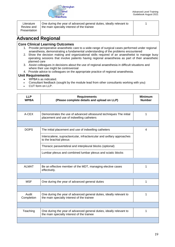

| Literature<br>Review and<br><b>Presentation</b> | One during the year of advanced general duties, ideally relevant to<br>the main specialty interest of the trainee |  |
|-------------------------------------------------|-------------------------------------------------------------------------------------------------------------------|--|
|                                                 |                                                                                                                   |  |

### **Advanced Regional**

### **Core Clinical Learning Outcomes**

- 1. Provide perioperative anaesthetic care to a wide-range of surgical cases performed under regional anaesthesia, demonstrating a fundamental understanding of the problems encountered
- 2. Show the decision making and organizational skills required of an anaesthetist to manage busy operating sessions that involve patients having regional anaesthesia as part of their anaesthetic planned care
- 3. Assist colleagues in decisions about the use of regional anaesthesia in difficult situations and where their use might be controversial
- 4. Provide advice to colleagues on the appropriate practice of regional anaesthesia.

- WPBA's as indicated.
- Consultant feedback (sought by the module lead from other consultants working with you)
- CUT form on LLP.

| <b>Requirements</b><br>(Please complete details and upload on LLP)                                                | Minimum<br><b>Number</b> |
|-------------------------------------------------------------------------------------------------------------------|--------------------------|
|                                                                                                                   |                          |
| Demonstrates the use of advanced ultrasound techniques The initial<br>placement and use of indwelling catheters   | 1                        |
|                                                                                                                   |                          |
| The initial placement and use of indwelling catheters                                                             | 4                        |
| Interscalene, supraclavicular, infraclavicular and axillary approaches<br>to the brachial plexus                  |                          |
| Thoracic paravertebral and interpleural blocks (optional)                                                         |                          |
| Lumbar plexus and combined lumbar plexus and sciatic blocks                                                       |                          |
|                                                                                                                   |                          |
| Be an effective member of the MDT, managing elective cases<br>effectively.                                        |                          |
|                                                                                                                   |                          |
| One during the year of advanced general duties                                                                    | 1                        |
|                                                                                                                   |                          |
| One during the year of advanced general duties, ideally relevant to<br>the main specialty interest of the trainee |                          |
|                                                                                                                   |                          |
| One during the year of advanced general duties, ideally relevant to<br>the main specialty interest of the trainee | 1                        |
|                                                                                                                   |                          |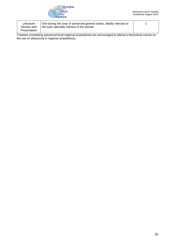

| Literature   | One during the year of advanced general duties, ideally relevant to |  |
|--------------|---------------------------------------------------------------------|--|
| Review and   | the main specialty interest of the trainee                          |  |
| Presentation |                                                                     |  |

Trainees completing advanced level regional anaesthesia are encouraged to attend a theoretical course on the use of ultrasound in regional anaesthesia.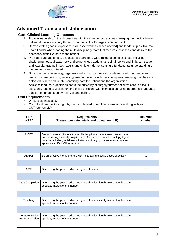

### **Advanced Trauma and stabilisation**

### **Core Clinical Learning Outcomes**

- 1. Provide leadership in the discussions with the emergency services managing the multiply injured patient at the site of injury through to arrival in the Emergency Department
- 2. Demonstrates good interpersonal skill, assertiveness [when needed] and leadership as Trauma Team Leader when leading the multi-disciplinary team that receives, assesses and delivers the necessary definitive care to the patient
- 3. Provides safe and effective anaesthetic care for a wide-range of complex cases including challenging head, airway, neck and spine, chest, abdominal, spinal, pelvic and limb, soft tissue and vascular trauma in both adults and children, demonstrating a fundamental understanding of the problems encountered
- 4. Show the decision making, organizational and communication skills required of a trauma team leader to manage a busy receiving area for patients with multiple injuries, ensuring that the care delivered is safe and timely, benefiting both the patient and the organisation
- 5. Assist colleagues in decisions about the suitability of surgery/further definitive care in difficult situations, lead discussions on end of life decisions with compassion, using appropriate language that can be understood by relatives and carers.

- WPBA's as indicated.
- Consultant feedback (sought by the module lead from other consultants working with you)
- CUT form on LLP.

| <b>LLP</b><br><b>WPBA</b>             | <b>Requirements</b><br>(Please complete details and upload on LLP)                                                                                                                                                                                                                 | <b>Minimum</b><br><b>Number</b> |
|---------------------------------------|------------------------------------------------------------------------------------------------------------------------------------------------------------------------------------------------------------------------------------------------------------------------------------|---------------------------------|
|                                       |                                                                                                                                                                                                                                                                                    |                                 |
| A-CEX                                 | Demonstrates ability to lead a multi-disciplinary trauma team, co-ordinating<br>and delivering the early hospital care of all types of complex multiply-injured<br>patients including, initial resuscitation and imaging, peri-operative care and<br>appropriate HDU/ICU admission |                                 |
|                                       |                                                                                                                                                                                                                                                                                    |                                 |
| <b>ALMAT</b>                          | Be an effective member of the MDT, managing elective cases effectively.                                                                                                                                                                                                            | 1                               |
|                                       |                                                                                                                                                                                                                                                                                    |                                 |
| <b>MSF</b>                            | One during the year of advanced general duties                                                                                                                                                                                                                                     | 1                               |
|                                       |                                                                                                                                                                                                                                                                                    |                                 |
| <b>Audit Completion</b>               | One during the year of advanced general duties, ideally relevant to the main<br>specialty interest of the trainee                                                                                                                                                                  | 1                               |
|                                       |                                                                                                                                                                                                                                                                                    |                                 |
| Teaching                              | One during the year of advanced general duties, ideally relevant to the main<br>specialty interest of the trainee                                                                                                                                                                  | 1                               |
|                                       |                                                                                                                                                                                                                                                                                    |                                 |
| Literature Review<br>and Presentation | One during the year of advanced general duties, ideally relevant to the main<br>specialty interest of the trainee                                                                                                                                                                  | 1                               |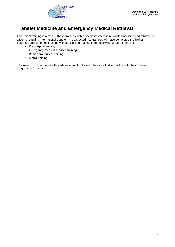

### **Transfer Medicine and Emergency Medical Retrieval**

This unit of training is aimed at those trainees with a specialist interest in transfer medicine and retrieval of patients requiring international transfer. It is expected that trainees will have completed the higher Trauma/Stabilisation units along with specialised training in the following as part of this unit:

- Pre-hospital training
- Emergency medical services training
- Basic aeronautical training
- Media training

If trainees wish to undertake this advanced unit of training they should discuss this with their Training Programme Director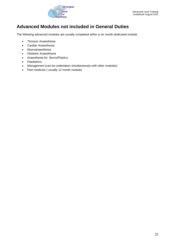

### **Advanced Modules not included in General Duties**

The following advanced modules are usually completed within a six month dedicated module.

- Thoracic Anaesthesia
- Cardiac Anaesthesia
- Neuroanaesthesia
- Obstetric Anaesthesia
- Anaesthesia for Burns/Plastics
- Paediatrics
- Management (can be undertaken simultaneously with other modules)
- Pain medicine ( usually 12 month module)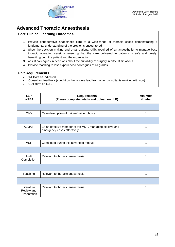

### **Advanced Thoracic Anaesthesia**

### **Core Clinical Learning Outcomes**

- 1. Provide perioperative anaesthetic care to a wide-range of thoracic cases demonstrating a fundamental understanding of the problems encountered
- 2. Show the decision making and organizational skills required of an anaesthetist to manage busy thoracic operating sessions ensuring that the care delivered to patients is safe and timely, benefiting both the patient and the organisation
- 3. Assist colleagues in decisions about the suitability of surgery in difficult situations
- 4. Provide teaching to less experienced colleagues of all grades

- WPBA's as indicated.
- Consultant feedback (sought by the module lead from other consultants working with you)
- CUT form on LLP.

| <b>LLP</b><br><b>WPBA</b>                | <b>Requirements</b><br>(Please complete details and upload on LLP)                       | <b>Minimum</b><br><b>Number</b> |
|------------------------------------------|------------------------------------------------------------------------------------------|---------------------------------|
|                                          |                                                                                          |                                 |
| C <sub>b</sub> D                         | Case description of trainee/trainer choice                                               | 1                               |
|                                          |                                                                                          |                                 |
| <b>ALMAT</b>                             | Be an effective member of the MDT, managing elective and<br>emergency cases effectively. | 1                               |
|                                          |                                                                                          |                                 |
| <b>MSF</b>                               | Completed during this advanced module                                                    | 1                               |
|                                          |                                                                                          |                                 |
| Audit<br>Completion                      | Relevant to thoracic anaesthesia                                                         | 1                               |
|                                          |                                                                                          |                                 |
| Teaching                                 | Relevant to thoracic anaesthesia                                                         | 1                               |
|                                          |                                                                                          |                                 |
| Literature<br>Review and<br>Presentation | Relevant to thoracic anaesthesia                                                         | 1                               |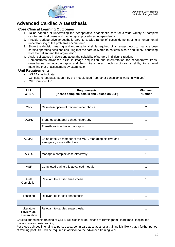

## **Advanced Cardiac Anaesthesia**

#### **Core Clinical Learning Outcomes**

- 1. To be capable of undertaking the perioperative anaesthetic care for a wide variety of complex cardiac surgical cases and cardiological procedures independently
- 2. Provide perioperative anaesthetic care to a wide-range of cases demonstrating a fundamental understanding of the problems encountered
- 3. Show the decision making and organizational skills required of an anaesthetist to manage busy cardiac operating sessions ensuring that the care delivered to patients is safe and timely, benefiting both the patient and the organisation
- 4. Assist colleagues in decisions about the suitability of surgery in difficult situations
- 5. Demonstrates advanced skills in image acquisition and interpretation for perioperative transoesophageal echocardiography and basic transthoracic echocardiography skills, to a level matching that of assessment by examination

#### **Unit Requirements**

- WPBA's as indicated.
- Consultant feedback (sought by the module lead from other consultants working with you)
- CUT form on LLP.

| <b>LLP</b><br><b>WPBA</b>                | <b>Requirements</b><br>(Please complete details and upload on LLP)                       | <b>Minimum</b><br><b>Number</b> |
|------------------------------------------|------------------------------------------------------------------------------------------|---------------------------------|
|                                          |                                                                                          |                                 |
| CbD                                      | Case description of trainee/trainer choice                                               | $\overline{2}$                  |
|                                          |                                                                                          |                                 |
| <b>DOPS</b>                              | Trans-oesophageal echocardiography                                                       | 1                               |
|                                          | Transthoracic echocardiography                                                           |                                 |
|                                          |                                                                                          |                                 |
| <b>ALMAT</b>                             | Be an effective member of the MDT, managing elective and<br>emergency cases effectively. | 1                               |
|                                          |                                                                                          |                                 |
| <b>ACEX</b>                              | Manage a complex case effectively                                                        | 1                               |
|                                          |                                                                                          |                                 |
| <b>MSF</b>                               | Completed during this advanced module                                                    | 1                               |
|                                          |                                                                                          |                                 |
| Audit<br>Completion                      | Relevant to cardiac anaesthesia                                                          | 1                               |
|                                          |                                                                                          |                                 |
| Teaching                                 | Relevant to cardiac anaesthesia                                                          | 1                               |
|                                          |                                                                                          |                                 |
| Literature<br>Review and<br>Presentation | Relevant to cardiac anaesthesia                                                          | 1                               |

Cardiac anaesthesia training at QEHB will also include release to Birmingham Heartlands Hospital for thoracic anaesthesia training.

For those trainees intending to pursue a career in cardiac anaesthesia training it is likely that a further period of training post CCT will be required in addition to the advanced training year.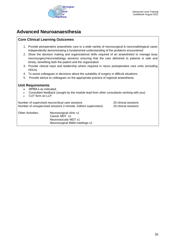

### **Advanced Neuroanaesthesia**

#### **Core Clinical Learning Outcomes**

- 1. Provide perioperative anaesthetic care to a wide variety of neurosurgical & neuroradiological cases independently demonstrating a fundamental understanding of the problems encountered
- 2. Show the decision making and organizational skills required of an anaesthetist to manage busy neurosurgery/neuroradiology sessions ensuring that the care delivered to patients is safe and timely, benefiting both the patient and the organisation
- 3. Provide clinical input and leadership where required in neuro postoperative care units (including HDUs)
- 4. To assist colleagues in decisions about the suitability of surgery in difficult situations.
- 5. Provide advice to colleagues on the appropriate practice of regional anaesthesia

#### **Unit Requirements**

- WPBA's as indicated.
- Consultant feedback (sought by the module lead from other consultants working with you)
- CUT form on LLP.

Number of supervised neurocritical care sessions 20 clinical sessions Number of unsupervised sessions (=remote, indirect supervision) 20 clinical sessions

| Other Activities: | Neurosurgical clinic x1       |
|-------------------|-------------------------------|
|                   | Cancer MDT x1                 |
|                   | Neurovascular MDT x1          |
|                   | Neurosurgical M&M meetings x1 |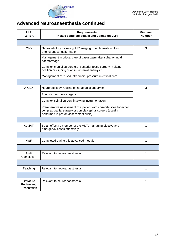

### **Advanced Neuroanaesthesia continued**

| <b>LLP</b><br><b>WPBA</b>                | <b>Requirements</b><br>(Please complete details and upload on LLP)                                                                                                           | <b>Minimum</b><br><b>Number</b> |
|------------------------------------------|------------------------------------------------------------------------------------------------------------------------------------------------------------------------------|---------------------------------|
|                                          |                                                                                                                                                                              |                                 |
| CbD                                      | Neuroradiology case e.g. MR imaging or embolisation of an<br>arteriovenous malformation                                                                                      | 3                               |
|                                          | Management in critical care of vasospasm after subarachnoid<br>haemorrhage                                                                                                   |                                 |
|                                          | Complex cranial surgery e.g. posterior fossa surgery in sitting<br>position or clipping of an intracranial aneurysm                                                          |                                 |
|                                          | Management of raised intracranial pressure in critical care                                                                                                                  |                                 |
|                                          |                                                                                                                                                                              |                                 |
| A-CEX                                    | Neuroradiology: Coiling of intracranial aneurysm                                                                                                                             | 3                               |
|                                          | Acoustic neuroma surgery                                                                                                                                                     |                                 |
|                                          | Complex spinal surgery involving instrumentation                                                                                                                             |                                 |
|                                          | Pre-operative assessment of a patient with co-morbidities for either<br>complex cranial surgery or complex spinal surgery (usually<br>performed in pre-op assessment clinic) |                                 |
|                                          |                                                                                                                                                                              |                                 |
| <b>ALMAT</b>                             | Be an effective member of the MDT, managing elective and<br>emergency cases effectively.                                                                                     | 1                               |
|                                          |                                                                                                                                                                              |                                 |
| <b>MSF</b>                               | Completed during this advanced module                                                                                                                                        | 1                               |
|                                          |                                                                                                                                                                              |                                 |
| Audit<br>Completion                      | Relevant to neuroanaesthesia                                                                                                                                                 | 1                               |
|                                          |                                                                                                                                                                              |                                 |
| Teaching                                 | Relevant to neuroanaesthesia                                                                                                                                                 | 1                               |
|                                          |                                                                                                                                                                              |                                 |
| Literature<br>Review and<br>Presentation | Relevant to neuroanaesthesia                                                                                                                                                 | 1                               |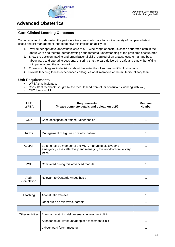

### **Advanced Obstetrics**

#### **Core Clinical Learning Outcomes**

To be capable of undertaking the perioperative anaesthetic care for a wide variety of complex obstetric cases and list management independently; this implies an ability to:

- 1. Provide perioperative anaesthetic care to a wide-range of obstetric cases performed both in the labour ward and theatre, demonstrating a fundamental understanding of the problems encountered
- 2. Show the decision making and organizational skills required of an anaesthetist to manage busy labour ward and operating sessions, ensuring that the care delivered is safe and timely, benefiting both patients and the organisation
- 3. To assist colleagues in decisions about the suitability of surgery in difficult situations
- 4. Provide teaching to less experienced colleagues of all members of the multi-disciplinary team.

- WPBA's as indicated.
- Consultant feedback (sought by the module lead from other consultants working with you)
- CUT form on LLP.

| <b>LLP</b><br><b>WPBA</b> | <b>Requirements</b><br>(Please complete details and upload on LLP)                                                                      | Minimum<br><b>Number</b> |
|---------------------------|-----------------------------------------------------------------------------------------------------------------------------------------|--------------------------|
|                           |                                                                                                                                         |                          |
| C <sub>b</sub> D          | Case description of trainee/trainer choice                                                                                              | 1                        |
|                           |                                                                                                                                         |                          |
| A-CEX                     | Management of high risk obstetric patient                                                                                               | 1                        |
|                           |                                                                                                                                         |                          |
| <b>ALMAT</b>              | Be an effective member of the MDT, managing elective and<br>emergency cases effectively and managing the workload on delivery<br>suite. | 1                        |
|                           |                                                                                                                                         |                          |
| <b>MSF</b>                | Completed during this advanced module                                                                                                   | 1                        |
|                           |                                                                                                                                         |                          |
| Audit<br>Completion       | Relevant to Obstetric Anaesthesia                                                                                                       | 1                        |
|                           |                                                                                                                                         |                          |
| Teaching                  | Anaesthetic trainees                                                                                                                    | 1                        |
|                           | Other such as midwives, parents                                                                                                         | 1                        |
|                           |                                                                                                                                         |                          |
| <b>Other Activities</b>   | Attendance at high risk antenatal assessment clinic                                                                                     | 1                        |
|                           | Attendance at ultrasound/doppler assessment clinic                                                                                      | 1                        |
|                           | Labour ward forum meeting                                                                                                               | 1                        |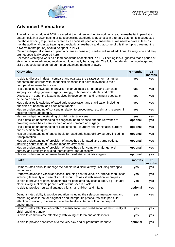

### **Advanced Paediatrics**

The advanced module at BCH is aimed at the trainee wishing to work as a lead anaesthetist in paediatric anaesthesia in a DGH setting or as a specialist paediatric anaesthetist in a tertiary setting. It is suggested that those wishing to pursue a career as a specialist paediatric anaesthetist will need to have at least 12 months additional clinical training in paediatric anaesthesia and that some of this time (up to three months in a twelve month period) should be spent in PICU.

Certain subspecialist areas of paediatric anaesthesia e.g. cardiac will need additional training time and they are not specifically covered here.

For those wishing to work as a lead paediatric anaesthetist in a DGH setting it is suggested that a period of six months in an advanced module would normally be adequate. The following details the knowledge and skills that could be acquired during an advanced module at BCH.

| Knowledge                                                                                                                                                                                                                                                               | 6 months | 12<br>months |
|-------------------------------------------------------------------------------------------------------------------------------------------------------------------------------------------------------------------------------------------------------------------------|----------|--------------|
| Is able to discuss in depth, compare and evaluate the strategies for managing<br>neonates and children with congenital diseases that have relevance to their<br>perioperative anaesthetic care.                                                                         | yes      | yes          |
| Has a detailed knowledge of provision of anaesthesia for paediatric day-case<br>surgery, including general surgery, urology, orthopaedics, dental and ENT.                                                                                                              | yes      | yes          |
| Discusses in depth the factors involved in development and running a paediatric<br>acute pain service.                                                                                                                                                                  | yes      | yes          |
| Has a detailed knowledge of paediatric resuscitation and stabilisation including<br>principles of neonatal and paediatric transfer.                                                                                                                                     | yes      | yes          |
| Has an understanding of consent in relation to procedures, restraint and research in<br>children and young people.                                                                                                                                                      | yes      | yes          |
| Has an in-depth understanding of child protection issues.                                                                                                                                                                                                               | yes      | yes          |
| Has a detailed understanding of congenital heart disease and the relevance to<br>providing anaesthesia care for cardiac and non-cardiac surgery.                                                                                                                        | optional | yes          |
| Has a detailed understanding of paediatric neurosurgery and craniofacial surgery<br>anaesthesia techniques.                                                                                                                                                             | optional | yes          |
| Has an understanding of anaesthesia for paediatric hepatobiliary surgery including<br>transplantation.                                                                                                                                                                  | optional | yes          |
| Has an understanding of provision of anaesthesia for paediatric burns patients<br>including acute major burns and reconstructive work.                                                                                                                                  | optional | yes          |
| Has an understanding of provision of anaesthesia for complex major general<br>surgery and urology, including thoracotomy / thoracoscopy.                                                                                                                                | optional | yes          |
| Has an understanding of anaesthesia for paediatric scoliosis surgery.                                                                                                                                                                                                   | optional | yes          |
| <b>Skills</b>                                                                                                                                                                                                                                                           | 6 months | 12<br>months |
| Demonstrates ability to manage the paediatric difficult airway, including fibreoptic<br>techniques.                                                                                                                                                                     | yes      | yes          |
| Performs advanced vascular access, including central venous & arterial cannulation<br>including familiarity and use of 2D ultrasound to assist with insertion techniques.                                                                                               | yes      | yes          |
| Is able to provide regional anaesthesia for paediatric day case surgery eg - caudal<br>block, ilioinguinal block, penile block, rectus sheath block.                                                                                                                    | yes      | yes          |
| Is able to provide neuraxial analgesia for small children and infants.                                                                                                                                                                                                  | optional | yes          |
| Demonstrates ability to provide sedation including the selection, management and<br>monitoring of children for diagnostic and therapeutic procedures, with particular<br>attention to working in areas outside the theatre suite but within the hospital<br>environment | yes      | yes          |
| Demonstrates effective leadership in resuscitation and stabilisation of the critically ill<br>child requiring transfer                                                                                                                                                  | yes      | yes          |
| Is able to communicate effectively with young children and adolescents                                                                                                                                                                                                  | yes      | yes          |
| Is able to provide anaesthesia to the very sick and or premature neonate                                                                                                                                                                                                | optional | yes          |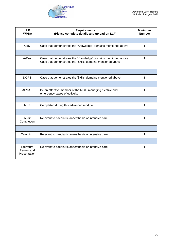

| <b>LLP</b><br><b>WPBA</b>                | <b>Requirements</b><br>(Please complete details and upload on LLP)                                                            | <b>Minimum</b><br><b>Number</b> |
|------------------------------------------|-------------------------------------------------------------------------------------------------------------------------------|---------------------------------|
|                                          |                                                                                                                               |                                 |
| CbD                                      | Case that demonstrates the 'Knowledge' domains mentioned above                                                                | 1                               |
|                                          |                                                                                                                               |                                 |
| A-Cex                                    | Case that demonstrates the 'Knowledge' domains mentioned above<br>Case that demonstrates the 'Skills' domains mentioned above | 1                               |
|                                          |                                                                                                                               |                                 |
| <b>DOPS</b>                              | Case that demonstrates the 'Skills' domains mentioned above                                                                   | 1                               |
|                                          |                                                                                                                               |                                 |
| <b>ALMAT</b>                             | Be an effective member of the MDT, managing elective and<br>emergency cases effectively.                                      | 1                               |
|                                          |                                                                                                                               |                                 |
| <b>MSF</b>                               | Completed during this advanced module                                                                                         | 1                               |
|                                          |                                                                                                                               |                                 |
| Audit<br>Completion                      | Relevant to paediatric anaesthesia or intensive care                                                                          | 1                               |
|                                          |                                                                                                                               |                                 |
| Teaching                                 | Relevant to paediatric anaesthesia or intensive care                                                                          | 1                               |
|                                          |                                                                                                                               |                                 |
| Literature<br>Review and<br>Presentation | Relevant to paediatric anaesthesia or intensive care                                                                          | 1                               |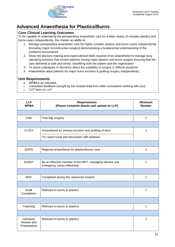

### **Advanced Anaesthesia for Plastics/Burns**

### **Core Clinical Learning Outcomes**

To be capable of undertaking the perioperative anaesthetic care for a wide variety of complex plastics and burns cases independently; this implies an ability to:

- 1. Manage perioperative anaesthetic care for highly complex plastics and burns cases independently [including major reconstructive surgery] demonstrating a fundamental understanding of the problems encountered
- 2. Show the decision making and organizational skills required of an anaesthetist to manage busy operating sessions that involve patients having major plastics and burns surgery ensuring that the care delivered is safe and timely, benefiting both the patient and the organisation
- 3. To assist colleagues in decisions about the suitability of surgery in difficult situations
- 4. Anaesthetise adult patients for major burns excision & grafting surgery independently.

- WPBA's as indicated.
- Consultant feedback (sought by the module lead from other consultants working with you)
- CUT form on LLP.

| <b>LLP</b><br><b>WPBA</b>                | <b>Requirements</b><br>(Please complete details and upload on LLP)                       | <b>Minimum</b><br><b>Number</b> |
|------------------------------------------|------------------------------------------------------------------------------------------|---------------------------------|
|                                          |                                                                                          |                                 |
| CbD                                      | Free flap surgery                                                                        |                                 |
|                                          |                                                                                          |                                 |
| A-CEX                                    | Anaesthesia for primary excision and grafting of burn                                    | 1                               |
|                                          | ITU ward round and discussion with relatives                                             |                                 |
|                                          |                                                                                          |                                 |
| <b>DOPS</b>                              | Regional anaesthesia for plastics/burns case                                             | 1                               |
|                                          |                                                                                          |                                 |
| <b>ALMAT</b>                             | Be an effective member of the MDT, managing elective and<br>emergency cases effectively. | 1                               |
|                                          |                                                                                          |                                 |
| <b>MSF</b>                               | Completed during this advanced module                                                    | 1                               |
|                                          |                                                                                          |                                 |
| Audit<br>Completion                      | Relevant to burns or plastics                                                            | 1                               |
|                                          |                                                                                          |                                 |
| Teaching                                 | Relevant to burns or plastics                                                            | 1                               |
|                                          |                                                                                          |                                 |
| Literature<br>Review and<br>Presentation | Relevant to burns or plastics                                                            | 1                               |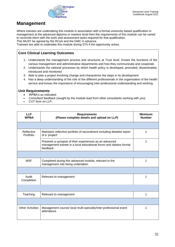

### **Management**

Where trainees are undertaking this module in association with a formal university based qualification in management at the advanced diploma or masters level then the requirements of this module can be varied to reconcile them with the work and assessment tasks required for that qualification.

This MUST be agreed by the RCoA and the GMC in advance.

Trainees are able to undertake this module during ST5 if the opportunity arises.

### **Core Clinical Learning Outcomes**

- 1. Understands the management process and structures at Trust level. Knows the functions of the various management and administrative departments and how they communicate and cooperate.
- 2. Understands the national processes by which health policy is developed, promoted, disseminated, introduced and monitored
- 3. Able to plan a project involving change and characterise the steps in its development
- 4. Has a deep understanding of the role of the different professionals in the organisation of the health service and knows the importance of encouraging inter-professional understanding and working.

- WPBA's as indicated.
- Consultant feedback (sought by the module lead from other consultants working with you)
- CUT form on LLP.

| <b>LLP</b><br><b>WPBA</b> | <b>Requirements</b><br>(Please complete details and upload on LLP)                                                                        | <b>Minimum</b><br><b>Number</b> |
|---------------------------|-------------------------------------------------------------------------------------------------------------------------------------------|---------------------------------|
|                           |                                                                                                                                           |                                 |
| Reflective<br>Portfolio   | Maintains reflective portfolio of secondment including detailed report<br>of a 'project'                                                  | 1                               |
|                           | Presents a synopsis of their experiences as an advanced<br>management trainee in a local educational forum and obtains formal<br>feedback | 1                               |
|                           |                                                                                                                                           |                                 |
| <b>MSF</b>                | Completed during this advanced module, relevant to the<br>management role being undertaken                                                | 1                               |
|                           |                                                                                                                                           |                                 |
| Audit<br>Completion       | Relevant to management                                                                                                                    |                                 |
|                           |                                                                                                                                           |                                 |
| Teaching                  | Relevant to management                                                                                                                    |                                 |
|                           |                                                                                                                                           |                                 |
| <b>Other Activities</b>   | Management course/ local multi-specialty/inter-professional event<br>attendance                                                           |                                 |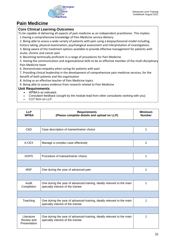

### **Pain Medicine**

#### **Core Clinical Learning Outcomes**

To be capable of delivering all aspects of pain medicine as an independent practitioner. This implies: 1.Having a comprehensive knowledge of Pain Medicine service delivery

2. Being able to assess a wide variety of patients with pain using a biopsychosocial model including, history taking, physical examination, psychological assessment and interpretation of investigations

3. Being aware of the treatment options available to provide effective management for patients with acute, chronic and cancer pain

4. Becoming technically proficient in a range of procedures for Pain Medicine

5. Having the communication and organisational skills to be an effective member of the multi-disciplinary Pain Medicine team

6. Demonstrates empathy when caring for patients with pain

7. Providing clinical leadership in the development of comprehensive pain medicine services, for the benefit of both patients and the organisation

8. Acting as an effective teacher of Pain Medicine topics

9. Being able to assess evidence from research related to Pain Medicine

- WPBA's as indicated.
- Consultant feedback (sought by the module lead from other consultants working with you)
- CUT form on LLP.

| <b>LLP</b><br><b>WPBA</b>                | <b>Requirements</b><br>(Please complete details and upload on LLP)                                          | <b>Minimum</b><br><b>Number</b> |
|------------------------------------------|-------------------------------------------------------------------------------------------------------------|---------------------------------|
|                                          |                                                                                                             |                                 |
| CbD                                      | Case description of trainee/trainer choice                                                                  | 1                               |
|                                          |                                                                                                             |                                 |
| A-CEX                                    | Manage a complex case effectively                                                                           | 2                               |
|                                          |                                                                                                             |                                 |
| <b>DOPS</b>                              | Procedure of trainee/trainer choice                                                                         | 1                               |
|                                          |                                                                                                             |                                 |
| <b>MSF</b>                               | One during the year of advanced pain                                                                        | 1                               |
|                                          |                                                                                                             |                                 |
| Audit<br>Completion                      | One during the year of advanced training, ideally relevant to the main<br>specialty interest of the trainee | 1                               |
|                                          |                                                                                                             |                                 |
| Teaching                                 | One during the year of advanced training, ideally relevant to the main<br>specialty interest of the trainee | 1                               |
|                                          |                                                                                                             |                                 |
| Literature<br>Review and<br>Presentation | One during the year of advanced training, ideally relevant to the main<br>specialty interest of the trainee | 1                               |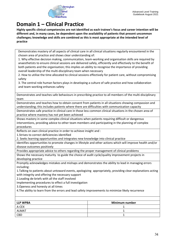

# **Domain 1 – Clinical Practice**

**Highly specific clinical competencies are not identified as each trainee's focus and career intention will be different and, in many cases, be dependent upon the availability of patients that present uncommon challenges; knowledge and skills are combined as this is most appropriate at the intended level of practice**

Demonstrates mastery of all aspects of clinical care in all clinical situations regularly encountered in the chosen area of practice and shows clear understanding of:

1. Why effective decision making, communication, team-working and organisation skills are required by anaesthetists to ensure clinical sessions are delivered safely, efficiently and effectively to the benefit of both patients and the organisation; this implies an ability to recognise the importance of providing overall leadership of the multi-disciplinary team when necessary

2. How to utilise the time allocated to clinical sessions effectively for patient care, without compromising safety

3. The central role human factors plays in developing a culture of safe practice and how collaboration and team-working enhances safety

Demonstrates and teaches safe behaviours in prescribing practice to all members of the multi-disciplinary team

Demonstrates and teaches how to obtain consent from patients in all situations showing compassion and understanding; this includes patients where there are difficulties with communication capacity

Demonstrates safe practice in clinical care in those less common clinical situations in the chosen area of practice where mastery has not yet been achieved

Shows mastery in some complex clinical situations when patients requiring difficult or dangerous interventions, providing advice to other team members and participating in the planning of complex procedures

Reflects on own clinical practice in order to achieve insight and :

1.Strives to correct deficiencies identified

2. Seeks learning opportunities and integrates new knowledge into clinical practice

Identifies opportunities to promote changes in lifestyle and other actions which will improve health and/or disease outcomes positively

Provides appropriate advice to others regarding the proper management of clinical problems

Shows the necessary maturity to guide the choice of audit cycle/quality improvement projects in developing practice

Promptly acknowledges mistakes and mishaps and demonstrates the ability to lead in managing errors including:

1.Talking to patients about untoward events, apologizing appropriately, providing clear explanations acting with integrity and offering the necessary support

2.Leading de-briefs with all the staff involved

Implementing procedures to effect a full investigation

3.Openess and honesty at all times

4.The ability to learn from the errors and lead safety improvements to minimize likely recurrence

| LLP WPBA     | <b>Minimum number</b> |
|--------------|-----------------------|
| A-CEX        |                       |
| <b>ALMAT</b> |                       |
| <b>CBD</b>   |                       |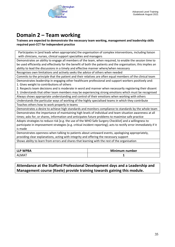

# **Domain 2 – Team working**

**Trainees are expected to demonstrate the necessary team working, management and leadership skills required post-CCT for independent practice**

Participates in [and leads when appropriate] the organisation of complex interventions, including liaison with clinicians, nurses, clinical support specialties and managers Demonstrates an ability to engage all members of the team, when required, to enable the session time to be used efficiently and effectively for the benefit of both the patients and the organisation; this implies an ability to lead the discussions in a timely and effective manner where/when necessary Recognises own limitations and actively seeks the advice of others when needed Commits to the principle that the patient and their relatives are often equal members of the clinical team Demonstrates leadership in engaging other healthcare professional and support workers positively and: 1. Gives weight to contributions of others 2. Respects team decisions and is moderate in word and manner when necessarily registering their dissent 3. Understands that other team members may be experiencing strong emotions which must be recognised Always shows appropriate understanding and control of their emotions when working with others Understands the particular ways of working of the highly specialised teams in which they contribute Teaches others how to work properly in teams Demonstrates a desire to achieve high standards and monitors compliance to standards by the whole team Demonstrates the importance of maintaining high levels of individual and team situation awareness at all times; asks for, or shares, information and anticipates future problems to maximise safe practice Adopts strategies to reduce risk [e.g. the use of the WHO Safe Surgery Checklist] and a willingness to participate in improvement strategies [e.g. critical incident reporting]; acts to rectify error immediately if it is made Demonstrates openness when talking to patients about untoward events, apologising appropriately, providing clear explanations, acting with integrity and offering the necessary support Shows ability to learn from errors and shares that learning with the rest of the organisation

| <b>WPBA</b><br><b>IID</b> | <b>Minimum number</b> |
|---------------------------|-----------------------|
| ALMAT                     |                       |

### **Attendance at the Stafford Professional Development days and a Leadership and Management course (Keele) provide training towards gaining this module.**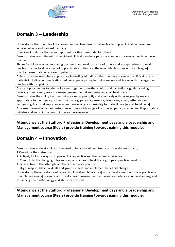

### **Domain 3 – Leadership**

Understands that the role of the consultant involves demonstrating leadership in clinical management, service delivery and forward planning

Is aware of their position as an important positive role-model for others

Demonstrates commitment to the highest clinical standards personally and encourages others to achieve the best

Shows flexibility in accommodating the needs and work patterns of others and a preparedness to work flexibly in order to allow cover of unpredictable duties [e.g. the unavoidable absence of a colleague] to maintain essential clinical care to patients

Able to take the lead where appropriate in dealing with difficulties that have arisen in the clinical care of patients including communicating bad news, participating in clinical review and liaising with managers and dealing with complaints

Creates opportunities to bring colleagues together to further clinical and institutional goals including reducing unnecessary resource usage [environmental and financial] in all healthcare

Demonstrates the ability to communicate clearly, promptly and effectively with colleagues by means appropriate to the urgency of the situation [e.g. personal presence, telephone, email, letter etc] and recognising its crucial importance when transferring responsibility for patient care [e.g. at handovers]

Analyses information about performance from a wide range of resources; participates in [and if appropriate initiates and leads] initiatives to improve performance

**Attendance at the Stafford Professional Development days and a Leadership and Management course (Keele) provide training towards gaining this module.**

## **Domain 4 – Innovation**

Demonstrates understanding of the need to be aware of new trends and developments and; 1.Questions the status quo

- 2. Actively looks for ways to improve clinical practice and the patient experience
- 3. Commits to the changing roles and responsibilities of healthcare groups as practice develops
- 4. Is receptive to the attempts of others to improve practice
- 5. Urges responsible individuals and groups to seek and implement beneficial change

Understands the importance of research [clinical and laboratory] in the development of clinical practice in their chosen area[s], is aware of current areas of research and achieves competence in understanding, and explaining, the methodology and statistics involved

**Attendance at the Stafford Professional Development days and a Leadership and Management course (Keele) provide training towards gaining this module.**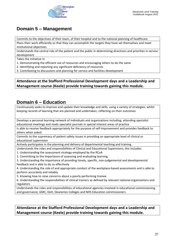

### **Domain 5 – Management**

Commits to the objectives of their team, of their hospital and to the national planning of healthcare Plans their work efficiently so that they can accomplish the targets they have set themselves and meet institutional objectives

Understands the central role of the patient and the public in determining directions and priorities in service development

Takes the initiative in:

- 1. Demonstrating the efficient use of resources and encouraging others to do the same
- 2. Identifying and reporting any significant deficiency of resources

3. Contributing to discussions and planning for service and facilities development

**Attendance at the Stafford Professional Development days and a Leadership and Management course (Keele) provide training towards gaining this module.**

### **Domain 6 – Education**

Continuously seeks to improve and update their knowledge and skills, using a variety of strategies, whilst keeping records of learning that are planned and undertaken, reflecting on their outcomes

Develops a personal learning network of individuals and organisations including; attending specialist educational meetings and reads specialist journals in special interest areas of practice

Is able to receive feedback appropriately for the purpose of self-improvement and provides feedback to others when asked

Commits to the supremacy of patient safety issues in providing an appropriate level of clinical or educational supervision

Actively participates in the planning and delivery of departmental teaching and training

- Understands the roles and responsibilities of Clinical and Educational Supervisors; this includes:
- 1. Understanding the assessment strategy employed by the RCoA
- 2. Committing to the importance of assessing and evaluating learning
- 3. Understanding the importance of providing timely, specific, non-judgemental and developmental feedback and is able to do so effectively

4. Understanding the role of and appropriate conduct of the workplace-based assessments and is able to perform accurately and reliably

5. Knowing how to raise concerns about a poorly performing trainee

6. Understanding the responsibilities of clinical trainers as defined by relevant national organisations and regulators

Understands the roles and responsibilities of educational agencies involved in educational commissioning and governance, GMC, DoH, Deaneries Colleges and NHS Education commissioners

**Attendance at the Stafford Professional Development days and a Leadership and Management course (Keele) provide training towards gaining this module.**